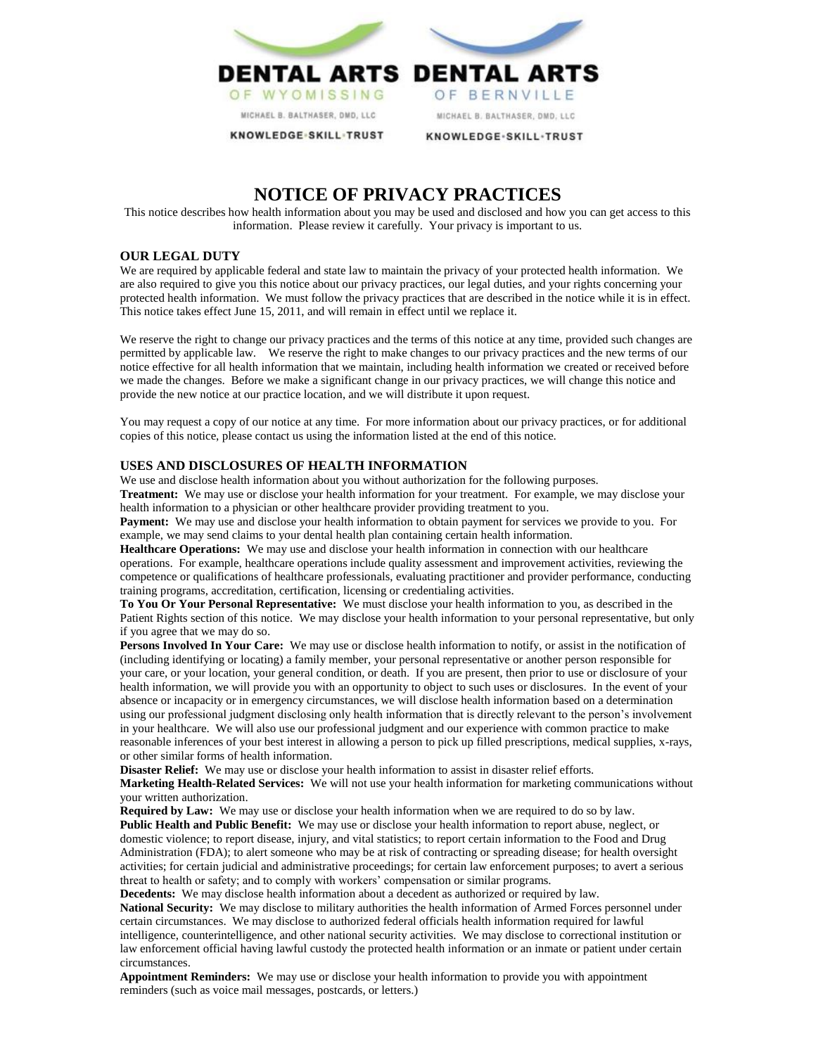

# **NOTICE OF PRIVACY PRACTICES**

This notice describes how health information about you may be used and disclosed and how you can get access to this information. Please review it carefully. Your privacy is important to us.

## **OUR LEGAL DUTY**

We are required by applicable federal and state law to maintain the privacy of your protected health information. We are also required to give you this notice about our privacy practices, our legal duties, and your rights concerning your protected health information. We must follow the privacy practices that are described in the notice while it is in effect. This notice takes effect June 15, 2011, and will remain in effect until we replace it.

We reserve the right to change our privacy practices and the terms of this notice at any time, provided such changes are permitted by applicable law. We reserve the right to make changes to our privacy practices and the new terms of our notice effective for all health information that we maintain, including health information we created or received before we made the changes. Before we make a significant change in our privacy practices, we will change this notice and provide the new notice at our practice location, and we will distribute it upon request.

You may request a copy of our notice at any time. For more information about our privacy practices, or for additional copies of this notice, please contact us using the information listed at the end of this notice.

## **USES AND DISCLOSURES OF HEALTH INFORMATION**

We use and disclose health information about you without authorization for the following purposes. **Treatment:** We may use or disclose your health information for your treatment. For example, we may disclose your

health information to a physician or other healthcare provider providing treatment to you.

**Payment:** We may use and disclose your health information to obtain payment for services we provide to you. For example, we may send claims to your dental health plan containing certain health information.

**Healthcare Operations:** We may use and disclose your health information in connection with our healthcare operations. For example, healthcare operations include quality assessment and improvement activities, reviewing the competence or qualifications of healthcare professionals, evaluating practitioner and provider performance, conducting training programs, accreditation, certification, licensing or credentialing activities.

**To You Or Your Personal Representative:** We must disclose your health information to you, as described in the Patient Rights section of this notice. We may disclose your health information to your personal representative, but only if you agree that we may do so.

**Persons Involved In Your Care:** We may use or disclose health information to notify, or assist in the notification of (including identifying or locating) a family member, your personal representative or another person responsible for your care, or your location, your general condition, or death. If you are present, then prior to use or disclosure of your health information, we will provide you with an opportunity to object to such uses or disclosures. In the event of your absence or incapacity or in emergency circumstances, we will disclose health information based on a determination using our professional judgment disclosing only health information that is directly relevant to the person's involvement in your healthcare. We will also use our professional judgment and our experience with common practice to make reasonable inferences of your best interest in allowing a person to pick up filled prescriptions, medical supplies, x-rays, or other similar forms of health information.

**Disaster Relief:** We may use or disclose your health information to assist in disaster relief efforts.

**Marketing Health-Related Services:** We will not use your health information for marketing communications without your written authorization.

**Required by Law:** We may use or disclose your health information when we are required to do so by law. **Public Health and Public Benefit:** We may use or disclose your health information to report abuse, neglect, or domestic violence; to report disease, injury, and vital statistics; to report certain information to the Food and Drug Administration (FDA); to alert someone who may be at risk of contracting or spreading disease; for health oversight activities; for certain judicial and administrative proceedings; for certain law enforcement purposes; to avert a serious threat to health or safety; and to comply with workers' compensation or similar programs.

**Decedents:** We may disclose health information about a decedent as authorized or required by law. **National Security:** We may disclose to military authorities the health information of Armed Forces personnel under certain circumstances. We may disclose to authorized federal officials health information required for lawful intelligence, counterintelligence, and other national security activities. We may disclose to correctional institution or law enforcement official having lawful custody the protected health information or an inmate or patient under certain circumstances.

**Appointment Reminders:** We may use or disclose your health information to provide you with appointment reminders (such as voice mail messages, postcards, or letters.)